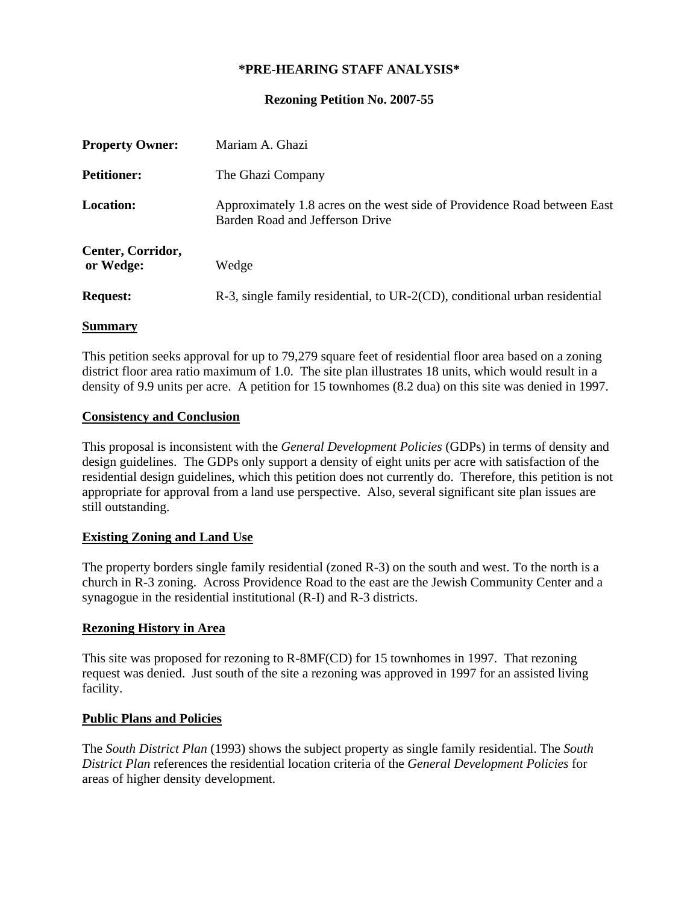# **\*PRE-HEARING STAFF ANALYSIS\***

### **Rezoning Petition No. 2007-55**

| <b>Property Owner:</b>         | Mariam A. Ghazi                                                                                             |
|--------------------------------|-------------------------------------------------------------------------------------------------------------|
| <b>Petitioner:</b>             | The Ghazi Company                                                                                           |
| <b>Location:</b>               | Approximately 1.8 acres on the west side of Providence Road between East<br>Barden Road and Jefferson Drive |
| Center, Corridor,<br>or Wedge: | Wedge                                                                                                       |
| <b>Request:</b>                | R-3, single family residential, to UR-2(CD), conditional urban residential                                  |

### **Summary**

This petition seeks approval for up to 79,279 square feet of residential floor area based on a zoning district floor area ratio maximum of 1.0. The site plan illustrates 18 units, which would result in a density of 9.9 units per acre. A petition for 15 townhomes (8.2 dua) on this site was denied in 1997.

#### **Consistency and Conclusion**

This proposal is inconsistent with the *General Development Policies* (GDPs) in terms of density and design guidelines. The GDPs only support a density of eight units per acre with satisfaction of the residential design guidelines, which this petition does not currently do. Therefore, this petition is not appropriate for approval from a land use perspective. Also, several significant site plan issues are still outstanding.

### **Existing Zoning and Land Use**

The property borders single family residential (zoned R-3) on the south and west. To the north is a church in R-3 zoning. Across Providence Road to the east are the Jewish Community Center and a synagogue in the residential institutional (R-I) and R-3 districts.

### **Rezoning History in Area**

This site was proposed for rezoning to R-8MF(CD) for 15 townhomes in 1997. That rezoning request was denied. Just south of the site a rezoning was approved in 1997 for an assisted living facility.

### **Public Plans and Policies**

The *South District Plan* (1993) shows the subject property as single family residential. The *South District Plan* references the residential location criteria of the *General Development Policies* for areas of higher density development.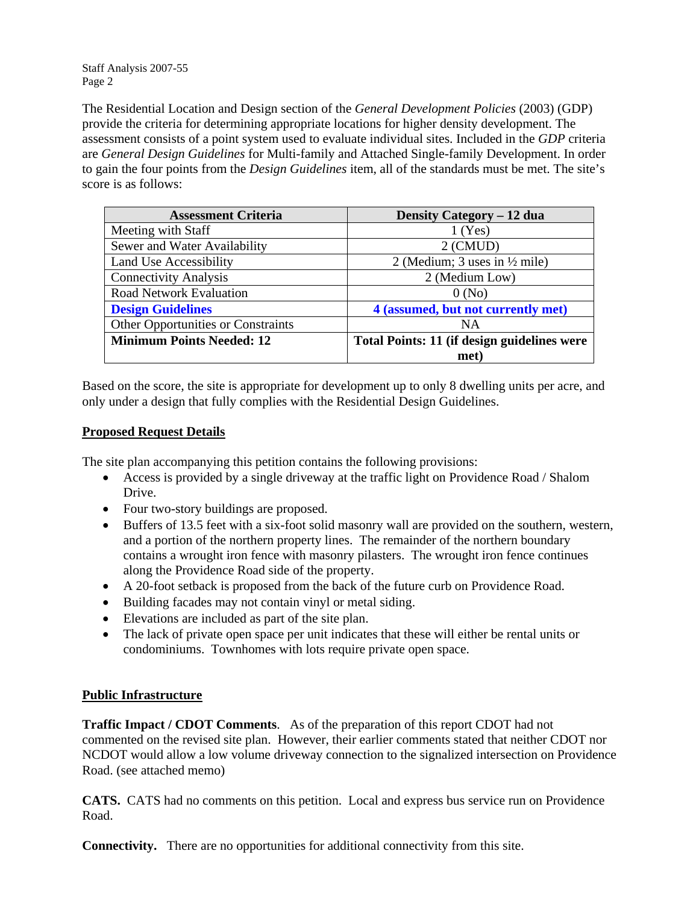Staff Analysis 2007-55 Page 2

The Residential Location and Design section of the *General Development Policies* (2003) (GDP) provide the criteria for determining appropriate locations for higher density development. The assessment consists of a point system used to evaluate individual sites. Included in the *GDP* criteria are *General Design Guidelines* for Multi-family and Attached Single-family Development. In order to gain the four points from the *Design Guidelines* item, all of the standards must be met. The site's score is as follows:

| <b>Assessment Criteria</b>                | Density Category – 12 dua                   |
|-------------------------------------------|---------------------------------------------|
| Meeting with Staff                        | $1$ (Yes)                                   |
| Sewer and Water Availability              | $2$ (CMUD)                                  |
| Land Use Accessibility                    | 2 (Medium; 3 uses in $\frac{1}{2}$ mile)    |
| <b>Connectivity Analysis</b>              | 2 (Medium Low)                              |
| <b>Road Network Evaluation</b>            | 0(No)                                       |
| <b>Design Guidelines</b>                  | 4 (assumed, but not currently met)          |
| <b>Other Opportunities or Constraints</b> | NA                                          |
| <b>Minimum Points Needed: 12</b>          | Total Points: 11 (if design guidelines were |
|                                           | met)                                        |

Based on the score, the site is appropriate for development up to only 8 dwelling units per acre, and only under a design that fully complies with the Residential Design Guidelines.

# **Proposed Request Details**

The site plan accompanying this petition contains the following provisions:

- Access is provided by a single driveway at the traffic light on Providence Road / Shalom Drive.
- Four two-story buildings are proposed.
- Buffers of 13.5 feet with a six-foot solid masonry wall are provided on the southern, western, and a portion of the northern property lines. The remainder of the northern boundary contains a wrought iron fence with masonry pilasters. The wrought iron fence continues along the Providence Road side of the property.
- A 20-foot setback is proposed from the back of the future curb on Providence Road.
- Building facades may not contain vinyl or metal siding.
- Elevations are included as part of the site plan.
- The lack of private open space per unit indicates that these will either be rental units or condominiums. Townhomes with lots require private open space.

# **Public Infrastructure**

**Traffic Impact / CDOT Comments**. As of the preparation of this report CDOT had not commented on the revised site plan. However, their earlier comments stated that neither CDOT nor NCDOT would allow a low volume driveway connection to the signalized intersection on Providence Road. (see attached memo)

**CATS.** CATS had no comments on this petition. Local and express bus service run on Providence Road.

**Connectivity.** There are no opportunities for additional connectivity from this site.